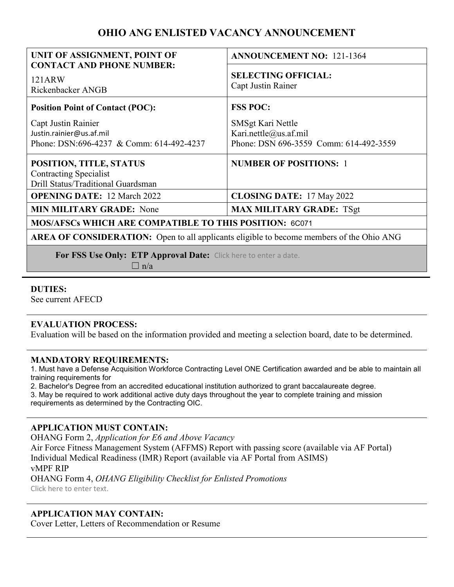# **OHIO ANG ENLISTED VACANCY ANNOUNCEMENT**

| UNIT OF ASSIGNMENT, POINT OF                                                                    | <b>ANNOUNCEMENT NO: 121-1364</b>                                                     |
|-------------------------------------------------------------------------------------------------|--------------------------------------------------------------------------------------|
| <b>CONTACT AND PHONE NUMBER:</b><br>121ARW<br>Rickenbacker ANGB                                 | <b>SELECTING OFFICIAL:</b><br>Capt Justin Rainer                                     |
| <b>Position Point of Contact (POC):</b>                                                         | <b>FSS POC:</b>                                                                      |
| Capt Justin Rainier<br>Justin.rainier@us.af.mil<br>Phone: DSN:696-4237 & Comm: 614-492-4237     | SMSgt Kari Nettle<br>Kari.nettle@us.af.mil<br>Phone: DSN 696-3559 Comm: 614-492-3559 |
| POSITION, TITLE, STATUS<br><b>Contracting Specialist</b><br>Drill Status/Traditional Guardsman  | <b>NUMBER OF POSITIONS: 1</b>                                                        |
| <b>OPENING DATE: 12 March 2022</b>                                                              | <b>CLOSING DATE: 17 May 2022</b>                                                     |
| <b>MIN MILITARY GRADE:</b> None                                                                 | <b>MAX MILITARY GRADE: TSgt</b>                                                      |
| MOS/AFSCs WHICH ARE COMPATIBLE TO THIS POSITION: 6C071                                          |                                                                                      |
| <b>AREA OF CONSIDERATION:</b> Open to all applicants eligible to become members of the Ohio ANG |                                                                                      |
| For FSS Use Only: ETP Approval Date: Click here to enter a date.                                |                                                                                      |

 $\Box$  n/a

**DUTIES:**

See current AFECD

#### **EVALUATION PROCESS:**

Evaluation will be based on the information provided and meeting a selection board, date to be determined.

#### **MANDATORY REQUIREMENTS:**

1. Must have a Defense Acquisition Workforce Contracting Level ONE Certification awarded and be able to maintain all training requirements for

2. Bachelor's Degree from an accredited educational institution authorized to grant baccalaureate degree.

3. May be required to work additional active duty days throughout the year to complete training and mission requirements as determined by the Contracting OIC.

#### **APPLICATION MUST CONTAIN:**

OHANG Form 2, *Application for E6 and Above Vacancy*

Air Force Fitness Management System (AFFMS) Report with passing score (available via AF Portal) Individual Medical Readiness (IMR) Report (available via AF Portal from ASIMS) vMPF RIP OHANG Form 4, *OHANG Eligibility Checklist for Enlisted Promotions* Click here to enter text.

### **APPLICATION MAY CONTAIN:**

Cover Letter, Letters of Recommendation or Resume